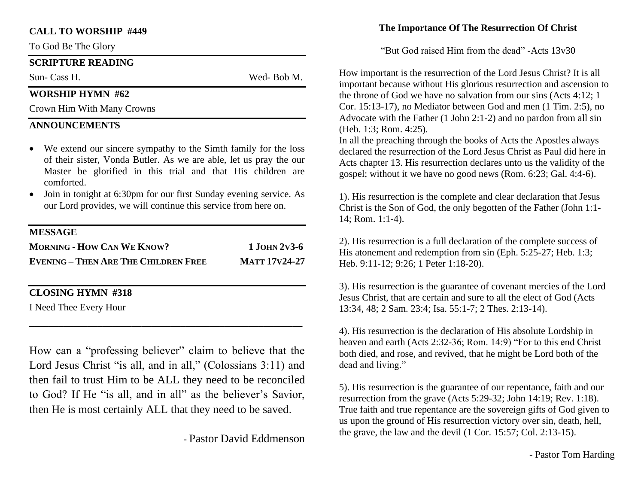#### **CALL TO WORSHIP #449**

To God Be The Glory

#### **SCRIPTURE READING**

Sun- Cass H. Wed- Bob M.

### **WORSHIP HYMN #62**

Crown Him With Many Crowns

## **ANNOUNCEMENTS**

- We extend our sincere sympathy to the Simth family for the loss of their sister, Vonda Butler. As we are able, let us pray the our Master be glorified in this trial and that His children are comforted.
- Join in tonight at 6:30pm for our first Sunday evening service. As our Lord provides, we will continue this service from here on.

#### **MESSAGE**

| <b>MORNING - HOW CAN WE KNOW?</b>           | $1$ JOHN 2V3-6       |
|---------------------------------------------|----------------------|
| <b>EVENING - THEN ARE THE CHILDREN FREE</b> | <b>MATT 17V24-27</b> |

## **CLOSING HYMN #318**

I Need Thee Every Hour

How can a "professing believer" claim to believe that the Lord Jesus Christ "is all, and in all," (Colossians 3:11) and then fail to trust Him to be ALL they need to be reconciled to God? If He "is all, and in all" as the believer's Savior, then He is most certainly ALL that they need to be saved.

**\_\_\_\_\_\_\_\_\_\_\_\_\_\_\_\_\_\_\_\_\_\_\_\_\_\_\_\_\_\_\_\_\_\_\_\_\_\_\_\_\_\_\_\_\_\_\_\_\_\_\_\_\_\_\_\_**

- Pastor David Eddmenson

### **The Importance Of The Resurrection Of Christ**

"But God raised Him from the dead" -Acts 13v30

How important is the resurrection of the Lord Jesus Christ? It is all important because without His glorious resurrection and ascension to the throne of God we have no salvation from our sins (Acts 4:12; 1 Cor. 15:13-17), no Mediator between God and men (1 Tim. 2:5), no Advocate with the Father (1 John 2:1-2) and no pardon from all sin (Heb. 1:3; Rom. 4:25).

In all the preaching through the books of Acts the Apostles always declared the resurrection of the Lord Jesus Christ as Paul did here in Acts chapter 13. His resurrection declares unto us the validity of the gospel; without it we have no good news (Rom. 6:23; Gal. 4:4-6).

1). His resurrection is the complete and clear declaration that Jesus Christ is the Son of God, the only begotten of the Father (John 1:1- 14; Rom. 1:1-4).

2). His resurrection is a full declaration of the complete success of His atonement and redemption from sin (Eph. 5:25-27; Heb. 1:3; Heb. 9:11-12; 9:26; 1 Peter 1:18-20).

3). His resurrection is the guarantee of covenant mercies of the Lord Jesus Christ, that are certain and sure to all the elect of God (Acts 13:34, 48; 2 Sam. 23:4; Isa. 55:1-7; 2 Thes. 2:13-14).

4). His resurrection is the declaration of His absolute Lordship in heaven and earth (Acts 2:32-36; Rom. 14:9) "For to this end Christ both died, and rose, and revived, that he might be Lord both of the dead and living."

5). His resurrection is the guarantee of our repentance, faith and our resurrection from the grave (Acts 5:29-32; John 14:19; Rev. 1:18). True faith and true repentance are the sovereign gifts of God given to us upon the ground of His resurrection victory over sin, death, hell, the grave, the law and the devil (1 Cor. 15:57; Col. 2:13-15).

- Pastor Tom Harding